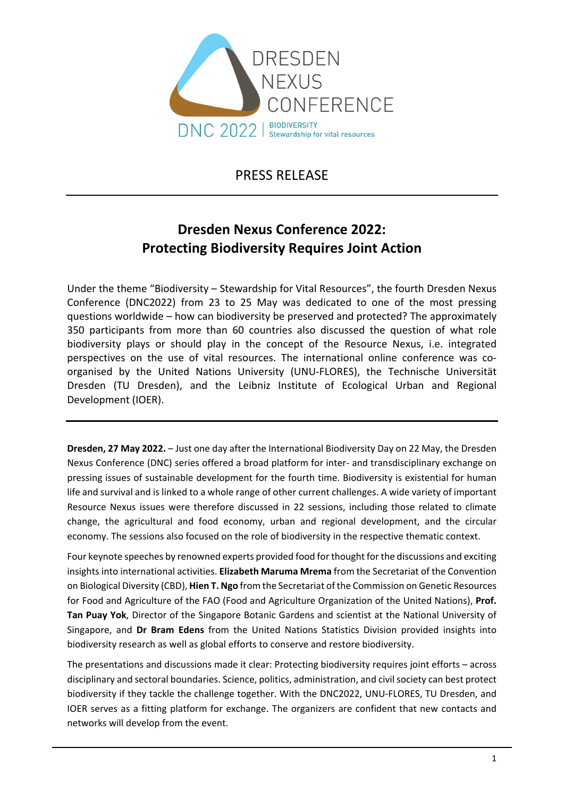

PRESS RELEASE

# **Dresden Nexus Conference 2022: Protecting Biodiversity Requires Joint Action**

Under the theme "Biodiversity – Stewardship for Vital Resources", the fourth Dresden Nexus Conference (DNC2022) from 23 to 25 May was dedicated to one of the most pressing questions worldwide – how can biodiversity be preserved and protected? The approximately 350 participants from more than 60 countries also discussed the question of what role biodiversity plays or should play in the concept of the Resource Nexus, i.e. integrated perspectives on the use of vital resources. The international online conference was co‐ organised by the United Nations University (UNU‐FLORES), the Technische Universität Dresden (TU Dresden), and the Leibniz Institute of Ecological Urban and Regional Development (IOER).

**Dresden, 27 May 2022.** – Just one day after the International Biodiversity Day on 22 May, the Dresden Nexus Conference (DNC) series offered a broad platform for inter‐ and transdisciplinary exchange on pressing issues of sustainable development for the fourth time. Biodiversity is existential for human life and survival and is linked to a whole range of other current challenges. A wide variety of important Resource Nexus issues were therefore discussed in 22 sessions, including those related to climate change, the agricultural and food economy, urban and regional development, and the circular economy. The sessions also focused on the role of biodiversity in the respective thematic context.

Four keynote speeches by renowned experts provided food for thought for the discussions and exciting insights into international activities. **Elizabeth Maruma Mrema** from the Secretariat of the Convention on Biological Diversity (CBD), **Hien T. Ngo** from the Secretariat of the Commission on Genetic Resources for Food and Agriculture of the FAO (Food and Agriculture Organization of the United Nations), **Prof. Tan Puay Yok**, Director of the Singapore Botanic Gardens and scientist at the National University of Singapore, and **Dr Bram Edens** from the United Nations Statistics Division provided insights into biodiversity research as well as global efforts to conserve and restore biodiversity.

The presentations and discussions made it clear: Protecting biodiversity requires joint efforts – across disciplinary and sectoral boundaries. Science, politics, administration, and civilsociety can best protect biodiversity if they tackle the challenge together. With the DNC2022, UNU‐FLORES, TU Dresden, and IOER serves as a fitting platform for exchange. The organizers are confident that new contacts and networks will develop from the event.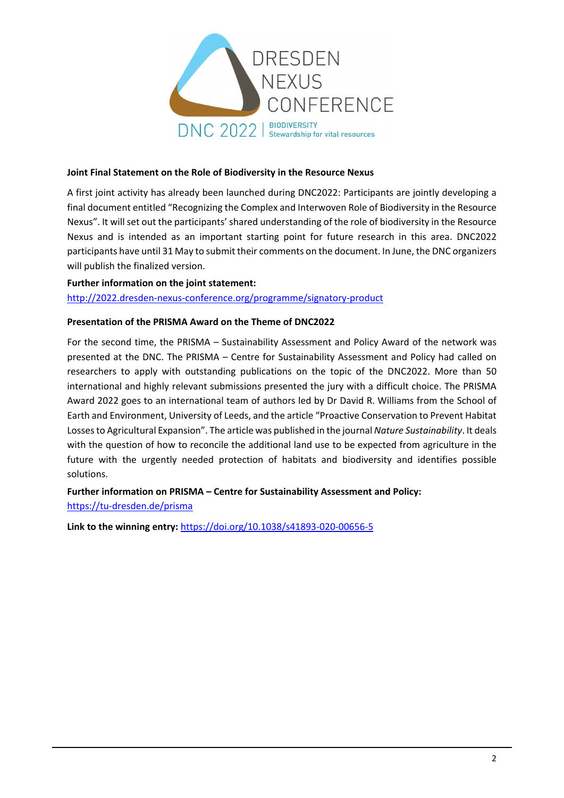

#### **Joint Final Statement on the Role of Biodiversity in the Resource Nexus**

A first joint activity has already been launched during DNC2022: Participants are jointly developing a final document entitled "Recognizing the Complex and Interwoven Role of Biodiversity in the Resource Nexus". It will set out the participants' shared understanding of the role of biodiversity in the Resource Nexus and is intended as an important starting point for future research in this area. DNC2022 participants have until 31 May to submit their comments on the document. In June, the DNC organizers will publish the finalized version.

**Further information on the joint statement:**  http://2022.dresden‐nexus‐[conference.org/programme/signatory](http://2022.dresden-nexus-conference.org/programme/signatory-product)‐product

#### **Presentation of the PRISMA Award on the Theme of DNC2022**

For the second time, the PRISMA – Sustainability Assessment and Policy Award of the network was presented at the DNC. The PRISMA – Centre for Sustainability Assessment and Policy had called on researchers to apply with outstanding publications on the topic of the DNC2022. More than 50 international and highly relevant submissions presented the jury with a difficult choice. The PRISMA Award 2022 goes to an international team of authors led by Dr David R. Williams from the School of Earth and Environment, University of Leeds, and the article "Proactive Conservation to Prevent Habitat Lossesto Agricultural Expansion". The article was published in the journal *Nature Sustainability*. It deals with the question of how to reconcile the additional land use to be expected from agriculture in the future with the urgently needed protection of habitats and biodiversity and identifies possible solutions.

**Further information on PRISMA – Centre for Sustainability Assessment and Policy:**  https://tu‐[dresden.de/prisma](https://tu-dresden.de/prisma?set_language=en)

**Link to the winning entry:** [https://doi.org/10.1038/s41893](https://doi.org/10.1038/s41893-020-00656-5)‐020‐00656‐5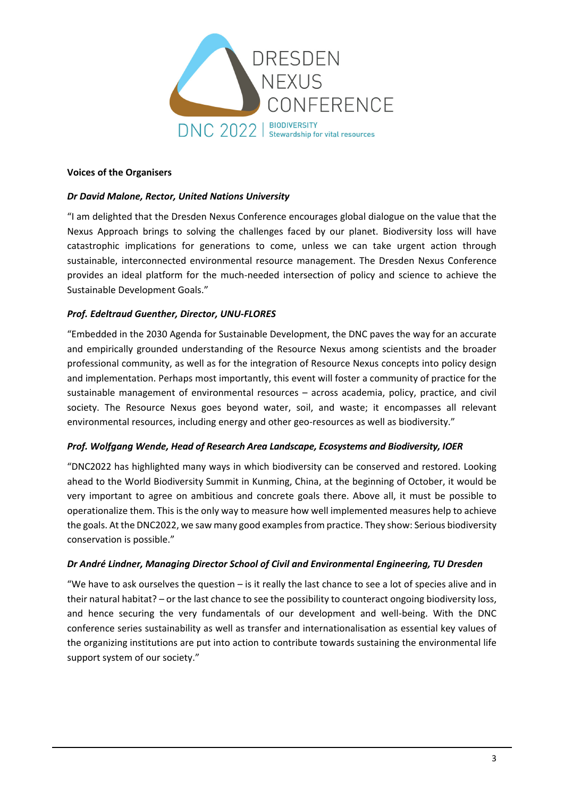

#### **Voices of the Organisers**

### *Dr David Malone, Rector, United Nations University*

"I am delighted that the Dresden Nexus Conference encourages global dialogue on the value that the Nexus Approach brings to solving the challenges faced by our planet. Biodiversity loss will have catastrophic implications for generations to come, unless we can take urgent action through sustainable, interconnected environmental resource management. The Dresden Nexus Conference provides an ideal platform for the much-needed intersection of policy and science to achieve the Sustainable Development Goals."

# *Prof. Edeltraud Guenther, Director, UNU‐FLORES*

"Embedded in the 2030 Agenda for Sustainable Development, the DNC paves the way for an accurate and empirically grounded understanding of the Resource Nexus among scientists and the broader professional community, as well as for the integration of Resource Nexus concepts into policy design and implementation. Perhaps most importantly, this event will foster a community of practice for the sustainable management of environmental resources – across academia, policy, practice, and civil society. The Resource Nexus goes beyond water, soil, and waste; it encompasses all relevant environmental resources, including energy and other geo-resources as well as biodiversity."

#### *Prof. Wolfgang Wende, Head of Research Area Landscape, Ecosystems and Biodiversity, IOER*

"DNC2022 has highlighted many ways in which biodiversity can be conserved and restored. Looking ahead to the World Biodiversity Summit in Kunming, China, at the beginning of October, it would be very important to agree on ambitious and concrete goals there. Above all, it must be possible to operationalize them. This is the only way to measure how well implemented measures help to achieve the goals. At the DNC2022, we saw many good examplesfrom practice. They show: Serious biodiversity conservation is possible."

#### *Dr André Lindner, Managing Director School of Civil and Environmental Engineering, TU Dresden*

"We have to ask ourselves the question – is it really the last chance to see a lot of species alive and in their natural habitat? – or the last chance to see the possibility to counteract ongoing biodiversity loss, and hence securing the very fundamentals of our development and well‐being. With the DNC conference series sustainability as well as transfer and internationalisation as essential key values of the organizing institutions are put into action to contribute towards sustaining the environmental life support system of our society."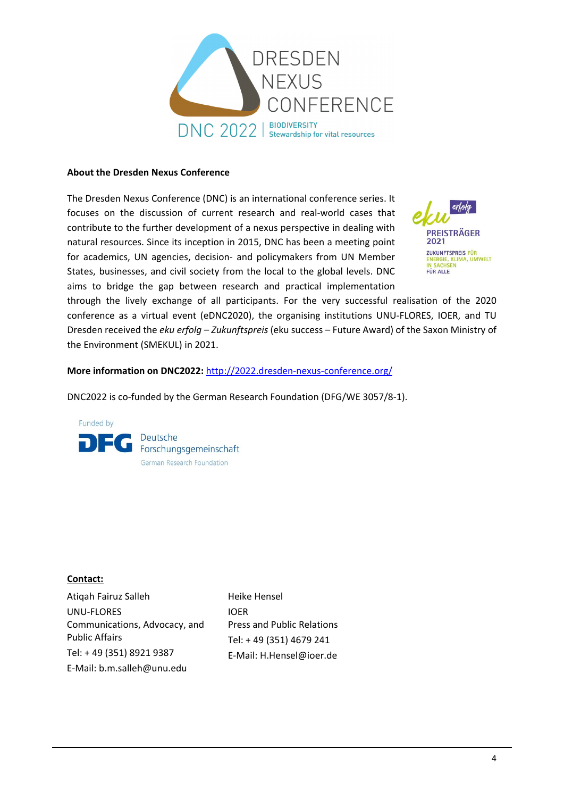

#### **About the Dresden Nexus Conference**

The Dresden Nexus Conference (DNC) is an international conference series. It focuses on the discussion of current research and real‐world cases that contribute to the further development of a nexus perspective in dealing with natural resources. Since its inception in 2015, DNC has been a meeting point for academics, UN agencies, decision‐ and policymakers from UN Member States, businesses, and civil society from the local to the global levels. DNC aims to bridge the gap between research and practical implementation



through the lively exchange of all participants. For the very successful realisation of the 2020 conference as a virtual event (eDNC2020), the organising institutions UNU‐FLORES, IOER, and TU Dresden received the *eku erfolg – Zukunftspreis* (eku success – Future Award) of the Saxon Ministry of the Environment (SMEKUL) in 2021.

**More information on DNC2022:** [http://2022.dresden](http://2022.dresden-nexus-conference.org/)‐nexus‐conference.org/

DNC2022 is co-funded by the German Research Foundation (DFG/WE 3057/8-1).



#### **Contact:**

Atiqah Fairuz Salleh UNU‐FLORES Communications, Advocacy, and Public Affairs Tel: + 49 (351) 8921 9387 E‐Mail: b.m.salleh@unu.edu

Heike Hensel IOER Press and Public Relations Tel: + 49 (351) 4679 241 E‐Mail: H.Hensel@ioer.de